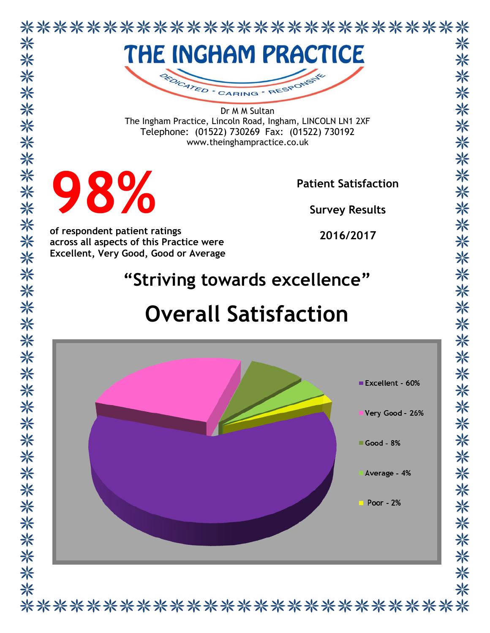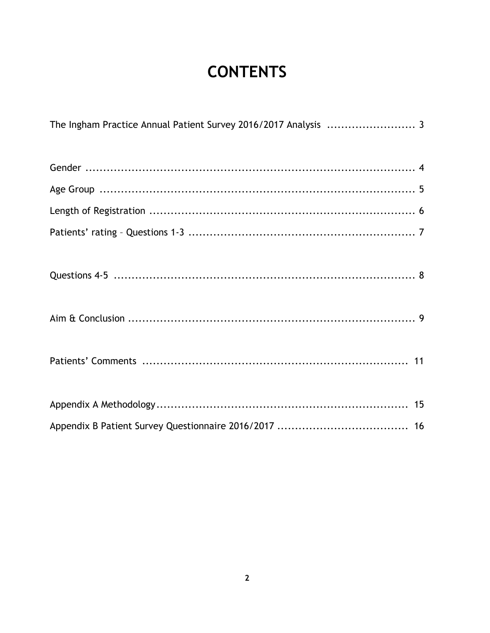# **CONTENTS**

| The Ingham Practice Annual Patient Survey 2016/2017 Analysis  3 |  |
|-----------------------------------------------------------------|--|
|                                                                 |  |
|                                                                 |  |
|                                                                 |  |
|                                                                 |  |
|                                                                 |  |
|                                                                 |  |
|                                                                 |  |
|                                                                 |  |
|                                                                 |  |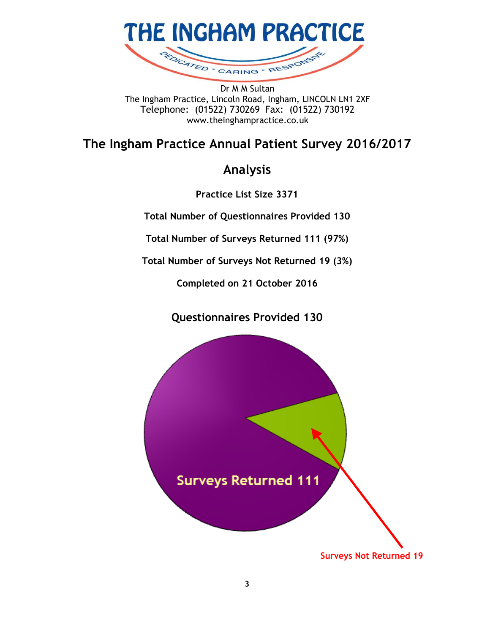

The Ingham Practice, Lincoln Road, Ingham, LINCOLN LN1 2XF Telephone: (01522) 730269 Fax: (01522) 730192 www.theinghampractice.co.uk

## **The Ingham Practice Annual Patient Survey 2016/2017**

## **Analysis**

**Practice List Size 3371**

**Total Number of Questionnaires Provided 130**

**Total Number of Surveys Returned 111 (97%)**

**Total Number of Surveys Not Returned 19 (3%)**

**Completed on 21 October 2016**

## **Questionnaires Provided 130**

**Surveys Returned 111** 

**Surveys Not Returned 19**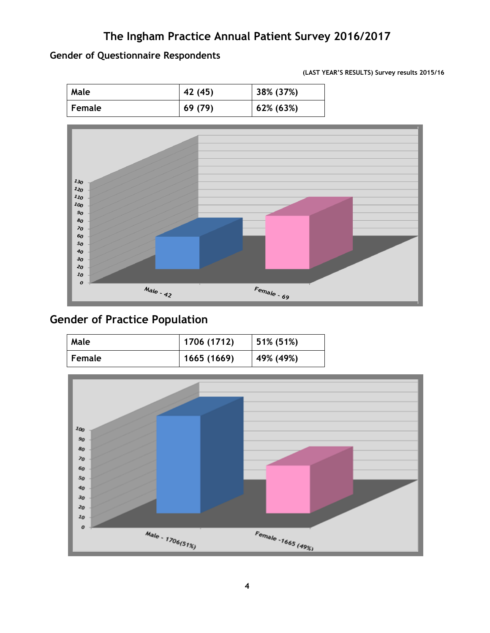### **Gender of Questionnaire Respondents**

**(LAST YEAR'S RESULTS) Survey results 2015/16**

| Male          | 42 (45) | 38% (37%) |
|---------------|---------|-----------|
| <b>Female</b> | 69(79)  | 62% (63%) |



## **Gender of Practice Population**

| Male   | 1706 (1712) | 51% (51%) |
|--------|-------------|-----------|
| Female | 1665 (1669) | 49% (49%) |

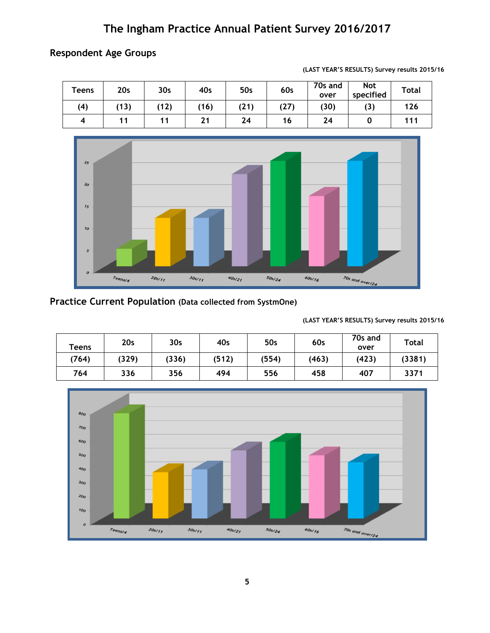### **Respondent Age Groups**

| <b>Teens</b> | 20 <sub>s</sub> | 30 <sub>s</sub> | 40s  | 50s  | 60s  | 70s and<br>over | <b>Not</b><br>specified | <b>Total</b> |
|--------------|-----------------|-----------------|------|------|------|-----------------|-------------------------|--------------|
| (4)          | (13)            | (12)            | (16) | (21) | (27) | (30)            | (3)                     | 126          |
| 4            | 11              |                 | 21   | 24   | 16   | 24              |                         | 111          |





## **Practice Current Population (Data collected from SystmOne)**

**(LAST YEAR'S RESULTS) Survey results 2015/16**

| <b>Teens</b> | 20 <sub>s</sub> | 30 <sub>s</sub> | 40s   | 50s   | 60s   | 70s and<br>over | Total  |
|--------------|-----------------|-----------------|-------|-------|-------|-----------------|--------|
| (764)        | (329)           | (336)           | (512) | (554) | (463) | (423)           | (3381) |
| 764          | 336             | 356             | 494   | 556   | 458   | 407             | 3371   |

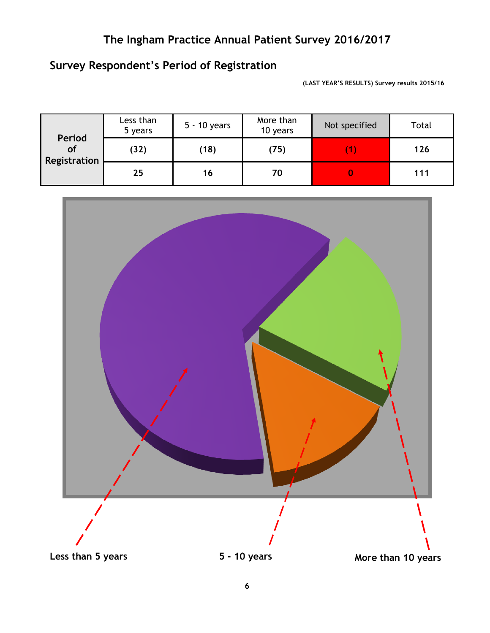## **Survey Respondent's Period of Registration**

**(LAST YEAR'S RESULTS) Survey results 2015/16**

| Period             | Less than<br>5 years | 5 - 10 years | More than<br>10 years | Not specified | Total |
|--------------------|----------------------|--------------|-----------------------|---------------|-------|
| of<br>Registration | (32)                 | (18)         | (75)                  |               | 126   |
|                    | 25                   | 16           | 70                    |               | 111   |

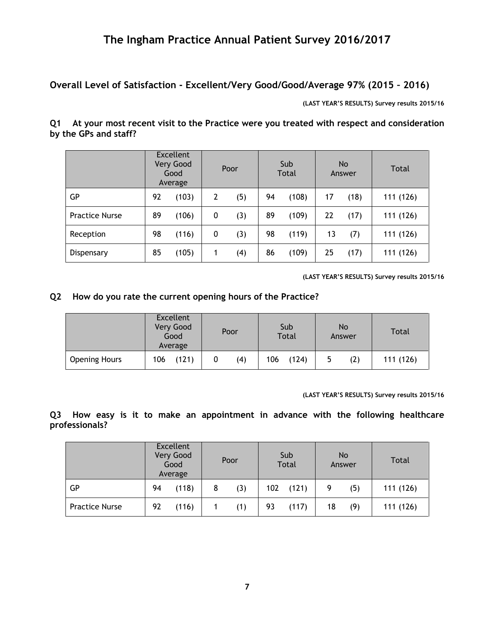**Overall Level of Satisfaction - Excellent/Very Good/Good/Average 97% (2015 – 2016)**

**(LAST YEAR'S RESULTS) Survey results 2015/16**

**Q1 At your most recent visit to the Practice were you treated with respect and consideration by the GPs and staff?**

|                       | <b>Excellent</b><br>Very Good<br>Good<br>Average |       | Poor |     | Sub<br><b>Total</b> |       | No<br>Answer |      | Total     |
|-----------------------|--------------------------------------------------|-------|------|-----|---------------------|-------|--------------|------|-----------|
| GР                    | 92                                               | (103) | 2    | (5) | 94                  | (108) | 17           | (18) | 111(126)  |
| <b>Practice Nurse</b> | 89                                               | (106) | 0    | (3) | 89                  | (109) | 22           | (17) | 111 (126) |
| Reception             | 98                                               | (116) | 0    | (3) | 98                  | (119) | 13           | (7)  | 111 (126) |
| Dispensary            | 85                                               | (105) |      | (4) | 86                  | (109) | 25           | (17) | 111(126)  |

**(LAST YEAR'S RESULTS) Survey results 2015/16**

#### **Q2 How do you rate the current opening hours of the Practice?**

|                      | <b>Excellent</b><br>Very Good<br>Good<br>Average | Poor | Sub<br><b>Total</b> | No<br>Answer | <b>Total</b> |
|----------------------|--------------------------------------------------|------|---------------------|--------------|--------------|
| <b>Opening Hours</b> | (121)<br>106                                     | (4)  | 106<br>(124)        | (2)<br>5     | 111(126)     |

**(LAST YEAR'S RESULTS) Survey results 2015/16**

**Q3 How easy is it to make an appointment in advance with the following healthcare professionals?**

|                       | <b>Excellent</b><br>Very Good<br>Good<br>Average |       | Poor |     | Sub<br><b>Total</b> |       | N <sub>o</sub><br>Answer |     | Total     |
|-----------------------|--------------------------------------------------|-------|------|-----|---------------------|-------|--------------------------|-----|-----------|
| GP                    | 94                                               | (118) |      | (3) | 102                 | (121) |                          | (5) | 111 (126) |
| <b>Practice Nurse</b> | 92                                               | (116) |      | (1) | 93                  | (117) | 18                       | (9) | 111 (126) |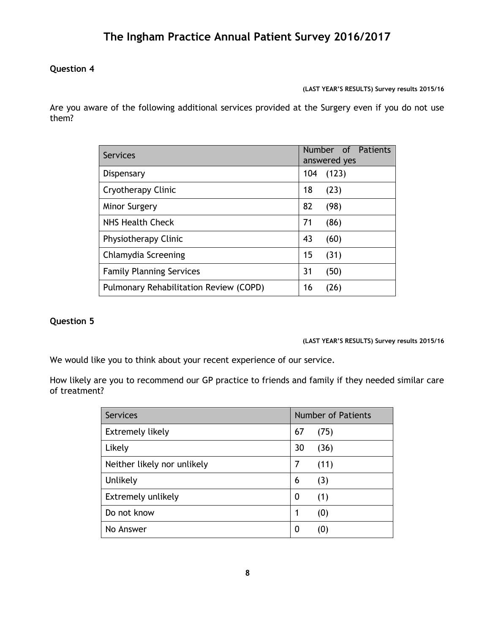### **Question 4**

**(LAST YEAR'S RESULTS) Survey results 2015/16**

Are you aware of the following additional services provided at the Surgery even if you do not use them?

| Services                               |     | Number of Patients<br>answered yes |  |
|----------------------------------------|-----|------------------------------------|--|
| Dispensary                             | 104 | (123)                              |  |
| Cryotherapy Clinic                     | 18  | (23)                               |  |
| <b>Minor Surgery</b>                   | 82  | (98)                               |  |
| NHS Health Check                       | 71  | (86)                               |  |
| Physiotherapy Clinic                   | 43  | (60)                               |  |
| Chlamydia Screening                    | 15  | (31)                               |  |
| <b>Family Planning Services</b>        | 31  | (50)                               |  |
| Pulmonary Rehabilitation Review (COPD) | 16  | (26)                               |  |

### **Question 5**

#### **(LAST YEAR'S RESULTS) Survey results 2015/16**

We would like you to think about your recent experience of our service.

How likely are you to recommend our GP practice to friends and family if they needed similar care of treatment?

| <b>Services</b>             |    | <b>Number of Patients</b> |
|-----------------------------|----|---------------------------|
| <b>Extremely likely</b>     | 67 | (75)                      |
| Likely                      | 30 | (36)                      |
| Neither likely nor unlikely | 7  | (11)                      |
| Unlikely                    | 6  | (3)                       |
| Extremely unlikely          | 0  | (1)                       |
| Do not know                 | 1  | (0)                       |
| No Answer                   | 0  | (O)                       |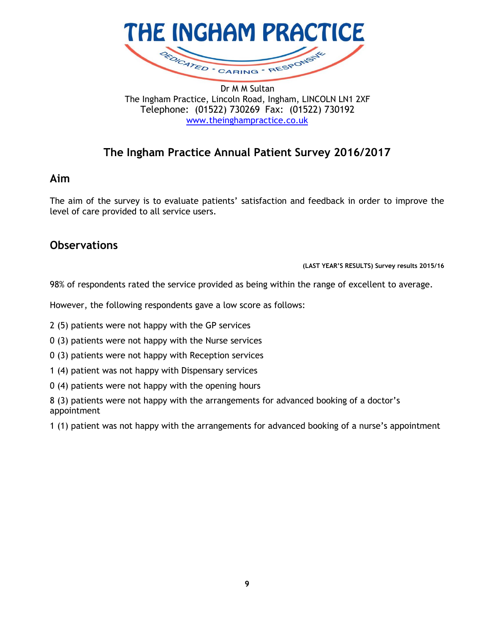

Dr M M Sultan The Ingham Practice, Lincoln Road, Ingham, LINCOLN LN1 2XF Telephone: (01522) 730269 Fax: (01522) 730192 [www.theinghampractice.co.uk](http://www.theinghampractice.co.uk/)

## **The Ingham Practice Annual Patient Survey 2016/2017**

### **Aim**

The aim of the survey is to evaluate patients' satisfaction and feedback in order to improve the level of care provided to all service users.

### **Observations**

**(LAST YEAR'S RESULTS) Survey results 2015/16**

98% of respondents rated the service provided as being within the range of excellent to average.

However, the following respondents gave a low score as follows:

2 (5) patients were not happy with the GP services

- 0 (3) patients were not happy with the Nurse services
- 0 (3) patients were not happy with Reception services
- 1 (4) patient was not happy with Dispensary services
- 0 (4) patients were not happy with the opening hours

8 (3) patients were not happy with the arrangements for advanced booking of a doctor's appointment

1 (1) patient was not happy with the arrangements for advanced booking of a nurse's appointment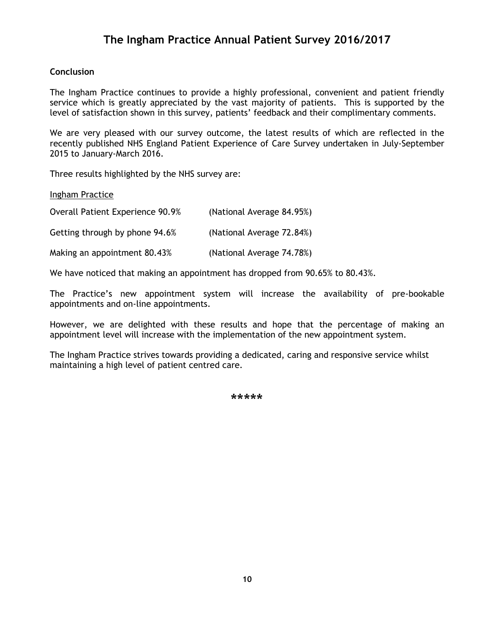#### **Conclusion**

The Ingham Practice continues to provide a highly professional, convenient and patient friendly service which is greatly appreciated by the vast majority of patients. This is supported by the level of satisfaction shown in this survey, patients' feedback and their complimentary comments.

We are very pleased with our survey outcome, the latest results of which are reflected in the recently published NHS England Patient Experience of Care Survey undertaken in July-September 2015 to January-March 2016.

Three results highlighted by the NHS survey are:

Ingham Practice

| Overall Patient Experience 90.9% | (National Average 84.95%) |
|----------------------------------|---------------------------|
| Getting through by phone 94.6%   | (National Average 72.84%) |
| Making an appointment 80.43%     | (National Average 74.78%) |

We have noticed that making an appointment has dropped from 90.65% to 80.43%.

The Practice's new appointment system will increase the availability of pre-bookable appointments and on-line appointments.

However, we are delighted with these results and hope that the percentage of making an appointment level will increase with the implementation of the new appointment system.

The Ingham Practice strives towards providing a dedicated, caring and responsive service whilst maintaining a high level of patient centred care.

\*\*\*\*\*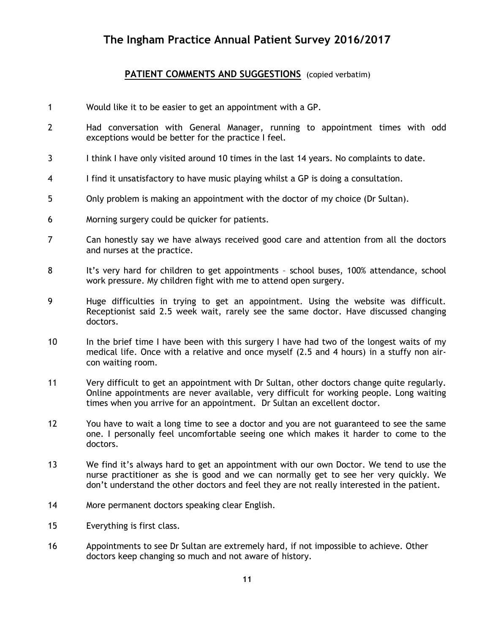### PATIENT COMMENTS AND SUGGESTIONS (copied verbatim)

- 1 Would like it to be easier to get an appointment with a GP.
- 2 Had conversation with General Manager, running to appointment times with odd exceptions would be better for the practice I feel.
- 3 I think I have only visited around 10 times in the last 14 years. No complaints to date.
- 4 I find it unsatisfactory to have music playing whilst a GP is doing a consultation.
- 5 Only problem is making an appointment with the doctor of my choice (Dr Sultan).
- 6 Morning surgery could be quicker for patients.
- 7 Can honestly say we have always received good care and attention from all the doctors and nurses at the practice.
- 8 It's very hard for children to get appointments school buses, 100% attendance, school work pressure. My children fight with me to attend open surgery.
- 9 Huge difficulties in trying to get an appointment. Using the website was difficult. Receptionist said 2.5 week wait, rarely see the same doctor. Have discussed changing doctors.
- 10 In the brief time I have been with this surgery I have had two of the longest waits of my medical life. Once with a relative and once myself (2.5 and 4 hours) in a stuffy non aircon waiting room.
- 11 Very difficult to get an appointment with Dr Sultan, other doctors change quite regularly. Online appointments are never available, very difficult for working people. Long waiting times when you arrive for an appointment. Dr Sultan an excellent doctor.
- 12 You have to wait a long time to see a doctor and you are not guaranteed to see the same one. I personally feel uncomfortable seeing one which makes it harder to come to the doctors.
- 13 We find it's always hard to get an appointment with our own Doctor. We tend to use the nurse practitioner as she is good and we can normally get to see her very quickly. We don't understand the other doctors and feel they are not really interested in the patient.
- 14 More permanent doctors speaking clear English.
- 15 Everything is first class.
- 16 Appointments to see Dr Sultan are extremely hard, if not impossible to achieve. Other doctors keep changing so much and not aware of history.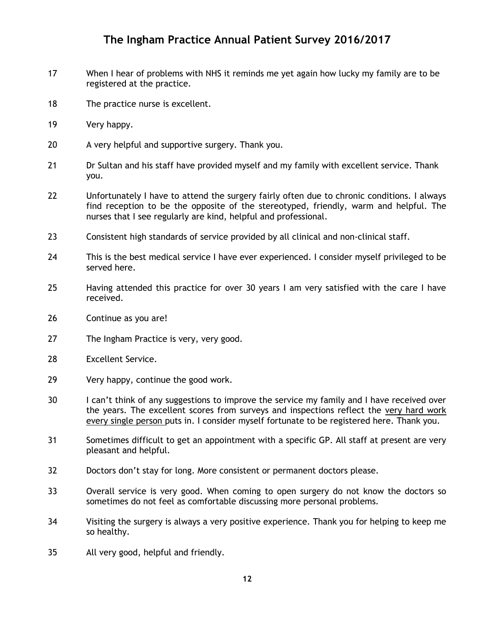- 17 When I hear of problems with NHS it reminds me yet again how lucky my family are to be registered at the practice.
- 18 The practice nurse is excellent.
- 19 Very happy.
- 20 A very helpful and supportive surgery. Thank you.
- 21 Dr Sultan and his staff have provided myself and my family with excellent service. Thank you.
- 22 Unfortunately I have to attend the surgery fairly often due to chronic conditions. I always find reception to be the opposite of the stereotyped, friendly, warm and helpful. The nurses that I see regularly are kind, helpful and professional.
- 23 Consistent high standards of service provided by all clinical and non-clinical staff.
- 24 This is the best medical service I have ever experienced. I consider myself privileged to be served here.
- 25 Having attended this practice for over 30 years I am very satisfied with the care I have received.
- 26 Continue as you are!
- 27 The Ingham Practice is very, very good.
- 28 Excellent Service.
- 29 Very happy, continue the good work.
- 30 I can't think of any suggestions to improve the service my family and I have received over the years. The excellent scores from surveys and inspections reflect the very hard work every single person puts in. I consider myself fortunate to be registered here. Thank you.
- 31 Sometimes difficult to get an appointment with a specific GP. All staff at present are very pleasant and helpful.
- 32 Doctors don't stay for long. More consistent or permanent doctors please.
- 33 Overall service is very good. When coming to open surgery do not know the doctors so sometimes do not feel as comfortable discussing more personal problems.
- 34 Visiting the surgery is always a very positive experience. Thank you for helping to keep me so healthy.
- 35 All very good, helpful and friendly.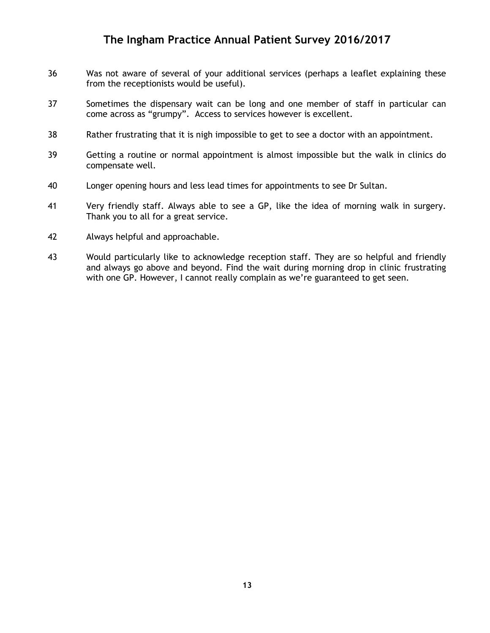- 36 Was not aware of several of your additional services (perhaps a leaflet explaining these from the receptionists would be useful).
- 37 Sometimes the dispensary wait can be long and one member of staff in particular can come across as "grumpy". Access to services however is excellent.
- 38 Rather frustrating that it is nigh impossible to get to see a doctor with an appointment.
- 39 Getting a routine or normal appointment is almost impossible but the walk in clinics do compensate well.
- 40 Longer opening hours and less lead times for appointments to see Dr Sultan.
- 41 Very friendly staff. Always able to see a GP, like the idea of morning walk in surgery. Thank you to all for a great service.
- 42 Always helpful and approachable.
- 43 Would particularly like to acknowledge reception staff. They are so helpful and friendly and always go above and beyond. Find the wait during morning drop in clinic frustrating with one GP. However, I cannot really complain as we're guaranteed to get seen.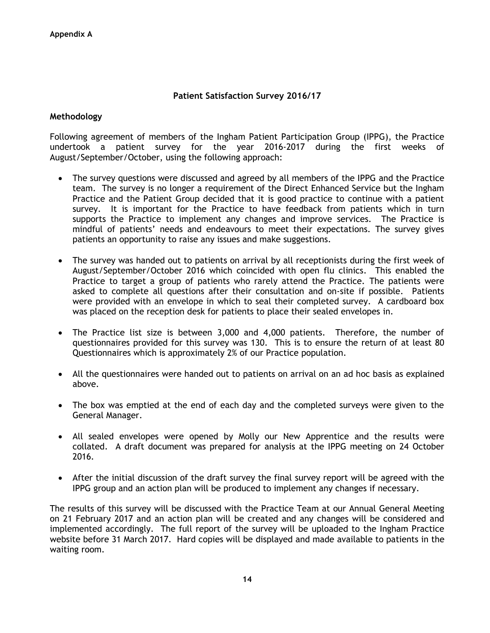#### **Patient Satisfaction Survey 2016/17**

#### **Methodology**

Following agreement of members of the Ingham Patient Participation Group (IPPG), the Practice undertook a patient survey for the year 2016-2017 during the first weeks of August/September/October, using the following approach:

- The survey questions were discussed and agreed by all members of the IPPG and the Practice team. The survey is no longer a requirement of the Direct Enhanced Service but the Ingham Practice and the Patient Group decided that it is good practice to continue with a patient survey. It is important for the Practice to have feedback from patients which in turn supports the Practice to implement any changes and improve services. The Practice is mindful of patients' needs and endeavours to meet their expectations. The survey gives patients an opportunity to raise any issues and make suggestions.
- The survey was handed out to patients on arrival by all receptionists during the first week of August/September/October 2016 which coincided with open flu clinics. This enabled the Practice to target a group of patients who rarely attend the Practice. The patients were asked to complete all questions after their consultation and on-site if possible. Patients were provided with an envelope in which to seal their completed survey. A cardboard box was placed on the reception desk for patients to place their sealed envelopes in.
- The Practice list size is between 3,000 and 4,000 patients. Therefore, the number of questionnaires provided for this survey was 130. This is to ensure the return of at least 80 Questionnaires which is approximately 2% of our Practice population.
- All the questionnaires were handed out to patients on arrival on an ad hoc basis as explained above.
- The box was emptied at the end of each day and the completed surveys were given to the General Manager.
- All sealed envelopes were opened by Molly our New Apprentice and the results were collated. A draft document was prepared for analysis at the IPPG meeting on 24 October 2016.
- After the initial discussion of the draft survey the final survey report will be agreed with the IPPG group and an action plan will be produced to implement any changes if necessary.

The results of this survey will be discussed with the Practice Team at our Annual General Meeting on 21 February 2017 and an action plan will be created and any changes will be considered and implemented accordingly. The full report of the survey will be uploaded to the Ingham Practice website before 31 March 2017. Hard copies will be displayed and made available to patients in the waiting room.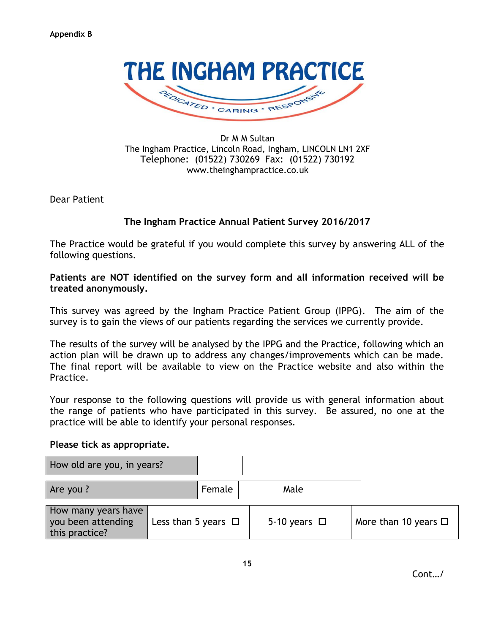

Dr M M Sultan The Ingham Practice, Lincoln Road, Ingham, LINCOLN LN1 2XF Telephone: (01522) 730269 Fax: (01522) 730192 www.theinghampractice.co.uk

Dear Patient

### **The Ingham Practice Annual Patient Survey 2016/2017**

The Practice would be grateful if you would complete this survey by answering ALL of the following questions.

**Patients are NOT identified on the survey form and all information received will be treated anonymously.**

This survey was agreed by the Ingham Practice Patient Group (IPPG). The aim of the survey is to gain the views of our patients regarding the services we currently provide.

The results of the survey will be analysed by the IPPG and the Practice, following which an action plan will be drawn up to address any changes/improvements which can be made. The final report will be available to view on the Practice website and also within the Practice.

Your response to the following questions will provide us with general information about the range of patients who have participated in this survey. Be assured, no one at the practice will be able to identify your personal responses.

#### **Please tick as appropriate.**

| How old are you, in years?                                  |                          |        |                   |                           |
|-------------------------------------------------------------|--------------------------|--------|-------------------|---------------------------|
| Are you?                                                    |                          | Female | Male              |                           |
| How many years have<br>you been attending<br>this practice? | Less than 5 years $\Box$ |        | 5-10 years $\Box$ | More than 10 years $\Box$ |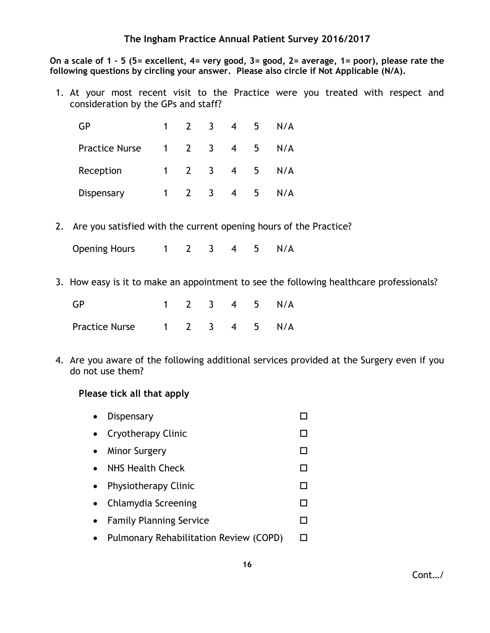**On a scale of 1 – 5 (5= excellent, 4= very good, 3= good, 2= average, 1= poor), please rate the following questions by circling your answer. Please also circle if Not Applicable (N/A).**

1. At your most recent visit to the Practice were you treated with respect and consideration by the GPs and staff?

| GP                    | $\mathbf{1}$ |               | $\overline{3}$          | $\overline{4}$ | 5 | N/A |
|-----------------------|--------------|---------------|-------------------------|----------------|---|-----|
| <b>Practice Nurse</b> |              | $1 \quad 2$   | $\overline{\mathbf{3}}$ | $\overline{4}$ | 5 | N/A |
| Reception             | $1 \quad$    | $\mathcal{P}$ | $\overline{\mathbf{3}}$ | $\overline{4}$ | 5 | N/A |
| Dispensary            |              |               | -3                      | $\overline{4}$ | 5 | N/A |

2. Are you satisfied with the current opening hours of the Practice?

Opening Hours 1 2 3 4 5 N/A

3. How easy is it to make an appointment to see the following healthcare professionals?

| <b>GP</b>                    |  |  | 1 2 3 4 5 N/A |
|------------------------------|--|--|---------------|
| Practice Nurse 1 2 3 4 5 N/A |  |  |               |

4. Are you aware of the following additional services provided at the Surgery even if you do not use them?

#### **Please tick all that apply**

- Dispensary Dispensary Dispensary Dispensary Dispensary Dispensary Dispensary Dispensary Dispensary Dispensary Dispensary Dispensary Dispensary Dispensary Dispensary Dispensary Dispensary Dispensary Dispensary Dispensary
- Cryotherapy Clinic コンピュータ ロンプログラム
- Minor Surgery コンピュータ ロング・コンピュータ ロング・コンピュータ ロング・コンピュータ ロング・コンピュータ ロング・コンピュータ はんしゃ ロング・コンピュータ ロング・コンピュータ はんしゃ
- NHS Health Check DD
- Physiotherapy Clinic コンピュータ ロンドランド ロンドランド
- Chlamydia Screening コンピュータ ロントラン ロントラン ロントラン ロントラン ロントラン ロントラン ロントラン ロントラン ロントラン ロントラン エントラン ロントラン エントラン エントラン エントラン エントランド
- Family Planning Service コンピュータ
- Pulmonary Rehabilitation Review (COPD) □